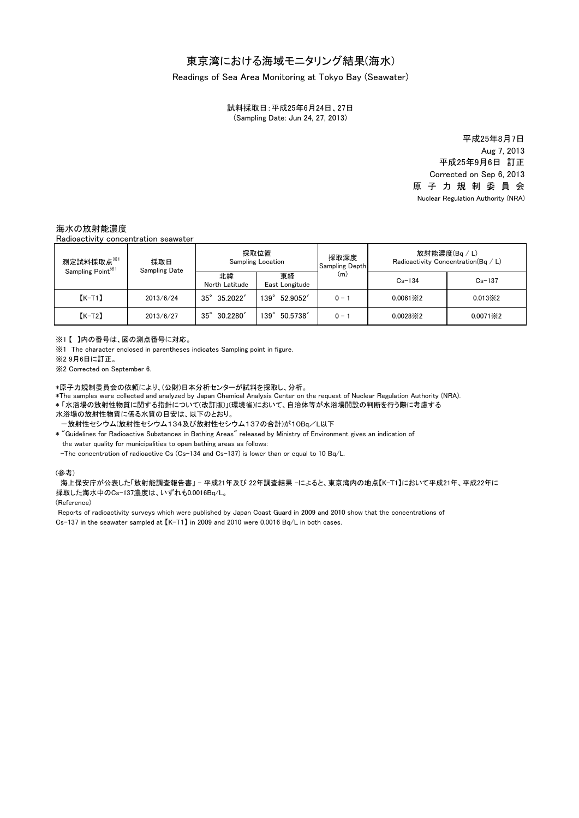# 東京湾における海域モニタリング結果(海水)

### Readings of Sea Area Monitoring at Tokyo Bay (Seawater)

(Sampling Date: Jun 24, 27, 2013) 試料採取日:平成25年6月24日、27日

> 原 子 力 規 制 委 員 会 Nuclear Regulation Authority (NRA) 平成25年9月6日 訂正 Corrected on Sep 6, 2013 平成25年8月7日 Aug 7, 2013

## 海水の放射能濃度

Radioactivity concentration seawater

| 測定試料採取点 <sup>※1</sup><br>Sampling Point <sup>**1</sup> | 採取日<br><b>Sampling Date</b> | 採取位置<br><b>Sampling Location</b> |                      | 採取深度<br><b>Sampling Depth</b> | 放射能濃度(Bq / L)<br>Radioactivity Concentration(Bq / L) |                   |
|--------------------------------------------------------|-----------------------------|----------------------------------|----------------------|-------------------------------|------------------------------------------------------|-------------------|
|                                                        |                             | 北緯<br>North Latitude             | 東経<br>East Longitude | (m)                           | $Cs - 134$                                           | $Cs - 137$        |
| $K-T1$                                                 | 2013/6/24                   | $35^{\circ}$ 35.2022'            | 52.9052'<br>139°     | $0 - 1$                       | $0.0061 \times 2$                                    | $0.013 \times 2$  |
| $K-T2$                                                 | 2013/6/27                   | 30.2280<br>$35^\circ$            | 50.5738<br>139°      | $0 - i$                       | $0.0028 \times 2$                                    | $0.0071 \times 2$ |

※1 【 】内の番号は、図の測点番号に対応。

※1 The character enclosed in parentheses indicates Sampling point in figure.

※2 9月6日に訂正。

※2 Corrected on September 6.

\*原子力規制委員会の依頼により、(公財)日本分析センターが試料を採取し、分析。

\*The samples were collected and analyzed by Japan Chemical Analysis Center on the request of Nuclear Regulation Authority (NRA).

\* 「水浴場の放射性物質に関する指針について(改訂版)」(環境省)において、自治体等が水浴場開設の判断を行う際に考慮する

水浴場の放射性物質に係る水質の目安は、以下のとおり。

-放射性セシウム(放射性セシウム134及び放射性セシウム137の合計)が10Bq/L以下

\* "Guidelines for Radioactive Substances in Bathing Areas" released by Ministry of Environment gives an indication of the water quality for municipalities to open bathing areas as follows:

-The concentration of radioactive Cs (Cs-134 and Cs-137) is lower than or equal to 10 Bq/L.

#### (参考)

海上保安庁が公表した「放射能調査報告書」 - 平成21年及び 22年調査結果 -によると、東京湾内の地点【K-T1】において平成21年、平成22年に 採取した海水中のCs-137濃度は、いずれも0.0016Bq/L。

(Reference)

Cs-137 in the seawater sampled at 【K-T1】 in 2009 and 2010 were 0.0016 Bq/L in both cases. Reports of radioactivity surveys which were published by Japan Coast Guard in 2009 and 2010 show that the concentrations of